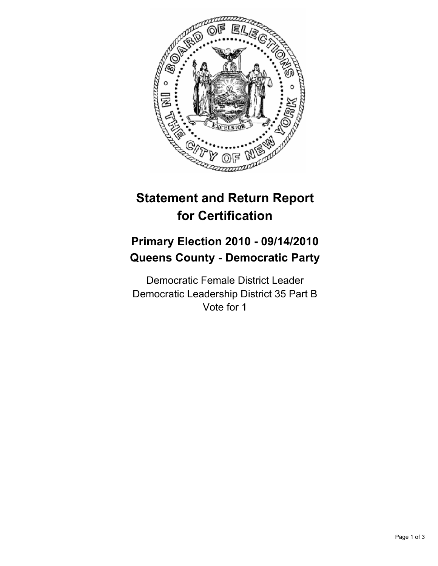

# **Statement and Return Report for Certification**

## **Primary Election 2010 - 09/14/2010 Queens County - Democratic Party**

Democratic Female District Leader Democratic Leadership District 35 Part B Vote for 1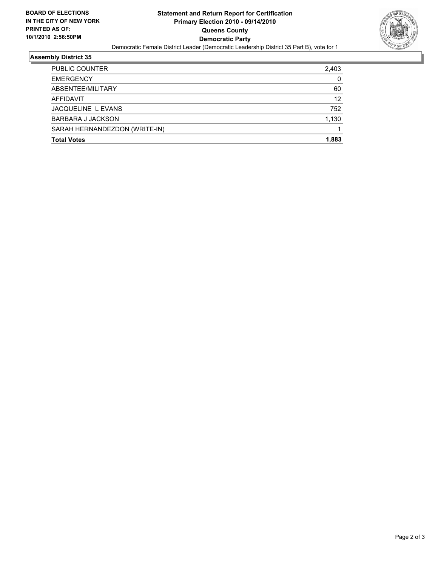

### **Assembly District 35**

| <b>Total Votes</b>            | 1.883 |
|-------------------------------|-------|
| SARAH HERNANDEZDON (WRITE-IN) |       |
| <b>BARBARA J JACKSON</b>      | 1,130 |
| JACQUELINE L EVANS            | 752   |
| AFFIDAVIT                     | 12    |
| ABSENTEE/MILITARY             | 60    |
| <b>EMERGENCY</b>              | 0     |
| PUBLIC COUNTER                | 2,403 |
|                               |       |